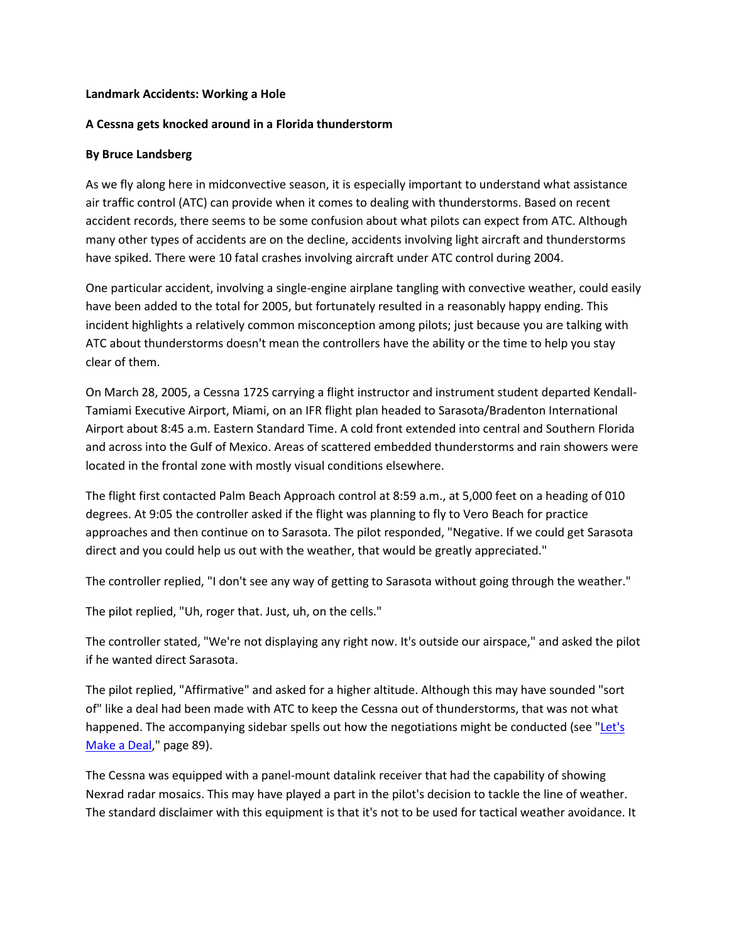### **Landmark Accidents: Working a Hole**

### **A Cessna gets knocked around in a Florida thunderstorm**

### **By Bruce Landsberg**

As we fly along here in midconvective season, it is especially important to understand what assistance air traffic control (ATC) can provide when it comes to dealing with thunderstorms. Based on recent accident records, there seems to be some confusion about what pilots can expect from ATC. Although many other types of accidents are on the decline, accidents involving light aircraft and thunderstorms have spiked. There were 10 fatal crashes involving aircraft under ATC control during 2004.

One particular accident, involving a single-engine airplane tangling with convective weather, could easily have been added to the total for 2005, but fortunately resulted in a reasonably happy ending. This incident highlights a relatively common misconception among pilots; just because you are talking with ATC about thunderstorms doesn't mean the controllers have the ability or the time to help you stay clear of them.

On March 28, 2005, a Cessna 172S carrying a flight instructor and instrument student departed Kendall-Tamiami Executive Airport, Miami, on an IFR flight plan headed to Sarasota/Bradenton International Airport about 8:45 a.m. Eastern Standard Time. A cold front extended into central and Southern Florida and across into the Gulf of Mexico. Areas of scattered embedded thunderstorms and rain showers were located in the frontal zone with mostly visual conditions elsewhere.

The flight first contacted Palm Beach Approach control at 8:59 a.m., at 5,000 feet on a heading of 010 degrees. At 9:05 the controller asked if the flight was planning to fly to Vero Beach for practice approaches and then continue on to Sarasota. The pilot responded, "Negative. If we could get Sarasota direct and you could help us out with the weather, that would be greatly appreciated."

The controller replied, "I don't see any way of getting to Sarasota without going through the weather."

The pilot replied, "Uh, roger that. Just, uh, on the cells."

The controller stated, "We're not displaying any right now. It's outside our airspace," and asked the pilot if he wanted direct Sarasota.

The pilot replied, "Affirmative" and asked for a higher altitude. Although this may have sounded "sort of" like a deal had been made with ATC to keep the Cessna out of thunderstorms, that was not what happened. The accompanying sidebar spells out how the negotiations might be conducted (see "Let's [Make a Deal,](http://www.aopa.org/asf/asfarticles/2006/sp0606.html#deal)" page 89).

The Cessna was equipped with a panel-mount datalink receiver that had the capability of showing Nexrad radar mosaics. This may have played a part in the pilot's decision to tackle the line of weather. The standard disclaimer with this equipment is that it's not to be used for tactical weather avoidance. It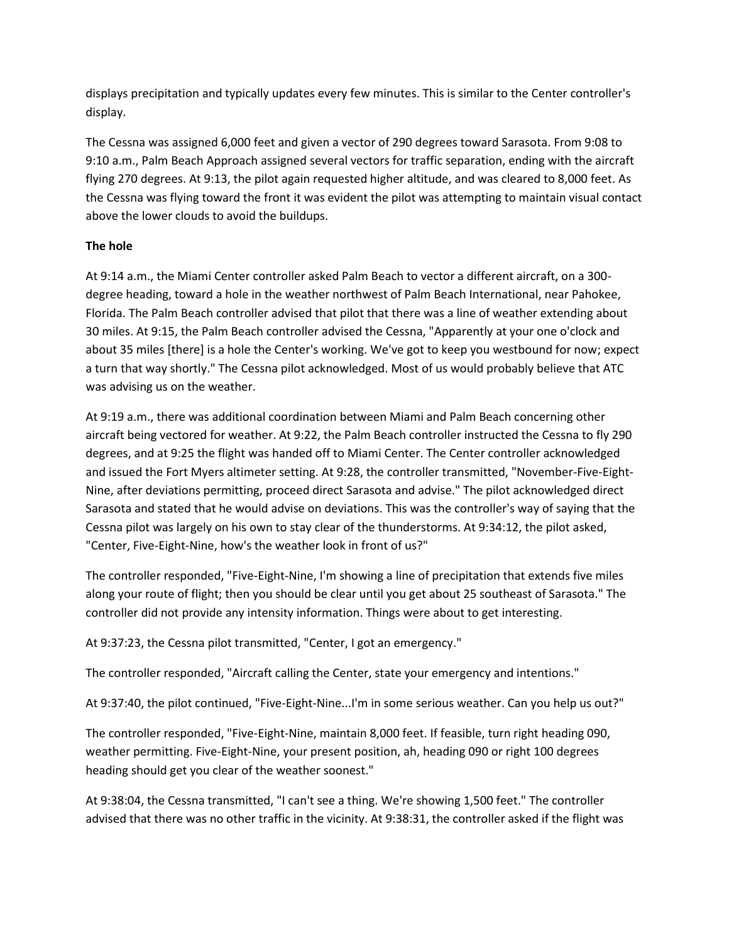displays precipitation and typically updates every few minutes. This is similar to the Center controller's display.

The Cessna was assigned 6,000 feet and given a vector of 290 degrees toward Sarasota. From 9:08 to 9:10 a.m., Palm Beach Approach assigned several vectors for traffic separation, ending with the aircraft flying 270 degrees. At 9:13, the pilot again requested higher altitude, and was cleared to 8,000 feet. As the Cessna was flying toward the front it was evident the pilot was attempting to maintain visual contact above the lower clouds to avoid the buildups.

# **The hole**

At 9:14 a.m., the Miami Center controller asked Palm Beach to vector a different aircraft, on a 300 degree heading, toward a hole in the weather northwest of Palm Beach International, near Pahokee, Florida. The Palm Beach controller advised that pilot that there was a line of weather extending about 30 miles. At 9:15, the Palm Beach controller advised the Cessna, "Apparently at your one o'clock and about 35 miles [there] is a hole the Center's working. We've got to keep you westbound for now; expect a turn that way shortly." The Cessna pilot acknowledged. Most of us would probably believe that ATC was advising us on the weather.

At 9:19 a.m., there was additional coordination between Miami and Palm Beach concerning other aircraft being vectored for weather. At 9:22, the Palm Beach controller instructed the Cessna to fly 290 degrees, and at 9:25 the flight was handed off to Miami Center. The Center controller acknowledged and issued the Fort Myers altimeter setting. At 9:28, the controller transmitted, "November-Five-Eight-Nine, after deviations permitting, proceed direct Sarasota and advise." The pilot acknowledged direct Sarasota and stated that he would advise on deviations. This was the controller's way of saying that the Cessna pilot was largely on his own to stay clear of the thunderstorms. At 9:34:12, the pilot asked, "Center, Five-Eight-Nine, how's the weather look in front of us?"

The controller responded, "Five-Eight-Nine, I'm showing a line of precipitation that extends five miles along your route of flight; then you should be clear until you get about 25 southeast of Sarasota." The controller did not provide any intensity information. Things were about to get interesting.

At 9:37:23, the Cessna pilot transmitted, "Center, I got an emergency."

The controller responded, "Aircraft calling the Center, state your emergency and intentions."

At 9:37:40, the pilot continued, "Five-Eight-Nine...I'm in some serious weather. Can you help us out?"

The controller responded, "Five-Eight-Nine, maintain 8,000 feet. If feasible, turn right heading 090, weather permitting. Five-Eight-Nine, your present position, ah, heading 090 or right 100 degrees heading should get you clear of the weather soonest."

At 9:38:04, the Cessna transmitted, "I can't see a thing. We're showing 1,500 feet." The controller advised that there was no other traffic in the vicinity. At 9:38:31, the controller asked if the flight was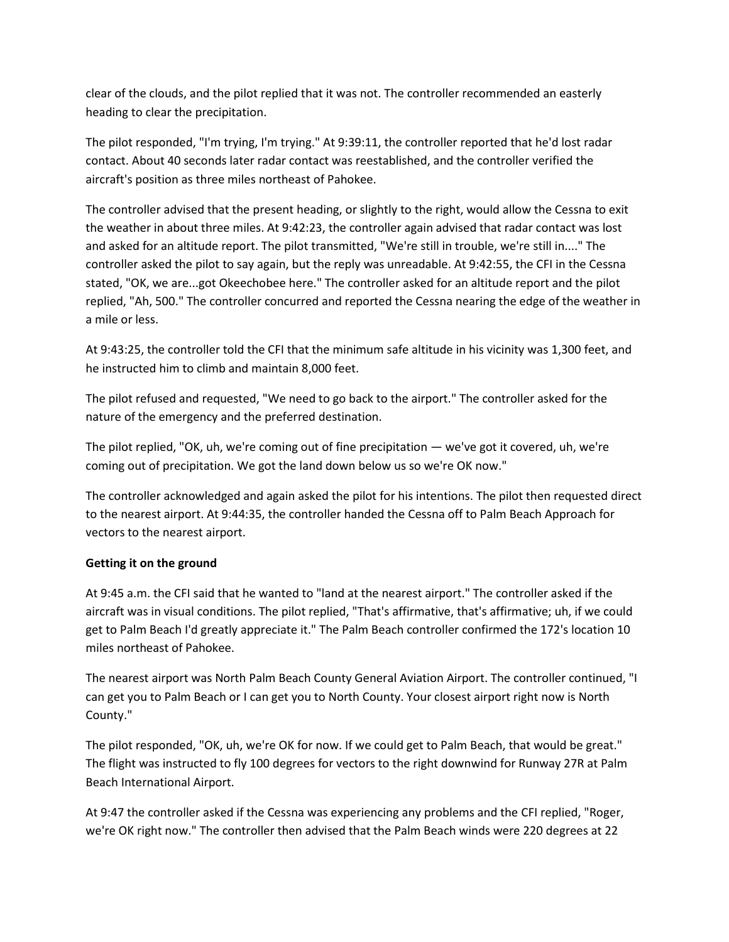clear of the clouds, and the pilot replied that it was not. The controller recommended an easterly heading to clear the precipitation.

The pilot responded, "I'm trying, I'm trying." At 9:39:11, the controller reported that he'd lost radar contact. About 40 seconds later radar contact was reestablished, and the controller verified the aircraft's position as three miles northeast of Pahokee.

The controller advised that the present heading, or slightly to the right, would allow the Cessna to exit the weather in about three miles. At 9:42:23, the controller again advised that radar contact was lost and asked for an altitude report. The pilot transmitted, "We're still in trouble, we're still in...." The controller asked the pilot to say again, but the reply was unreadable. At 9:42:55, the CFI in the Cessna stated, "OK, we are...got Okeechobee here." The controller asked for an altitude report and the pilot replied, "Ah, 500." The controller concurred and reported the Cessna nearing the edge of the weather in a mile or less.

At 9:43:25, the controller told the CFI that the minimum safe altitude in his vicinity was 1,300 feet, and he instructed him to climb and maintain 8,000 feet.

The pilot refused and requested, "We need to go back to the airport." The controller asked for the nature of the emergency and the preferred destination.

The pilot replied, "OK, uh, we're coming out of fine precipitation — we've got it covered, uh, we're coming out of precipitation. We got the land down below us so we're OK now."

The controller acknowledged and again asked the pilot for his intentions. The pilot then requested direct to the nearest airport. At 9:44:35, the controller handed the Cessna off to Palm Beach Approach for vectors to the nearest airport.

# **Getting it on the ground**

At 9:45 a.m. the CFI said that he wanted to "land at the nearest airport." The controller asked if the aircraft was in visual conditions. The pilot replied, "That's affirmative, that's affirmative; uh, if we could get to Palm Beach I'd greatly appreciate it." The Palm Beach controller confirmed the 172's location 10 miles northeast of Pahokee.

The nearest airport was North Palm Beach County General Aviation Airport. The controller continued, "I can get you to Palm Beach or I can get you to North County. Your closest airport right now is North County."

The pilot responded, "OK, uh, we're OK for now. If we could get to Palm Beach, that would be great." The flight was instructed to fly 100 degrees for vectors to the right downwind for Runway 27R at Palm Beach International Airport.

At 9:47 the controller asked if the Cessna was experiencing any problems and the CFI replied, "Roger, we're OK right now." The controller then advised that the Palm Beach winds were 220 degrees at 22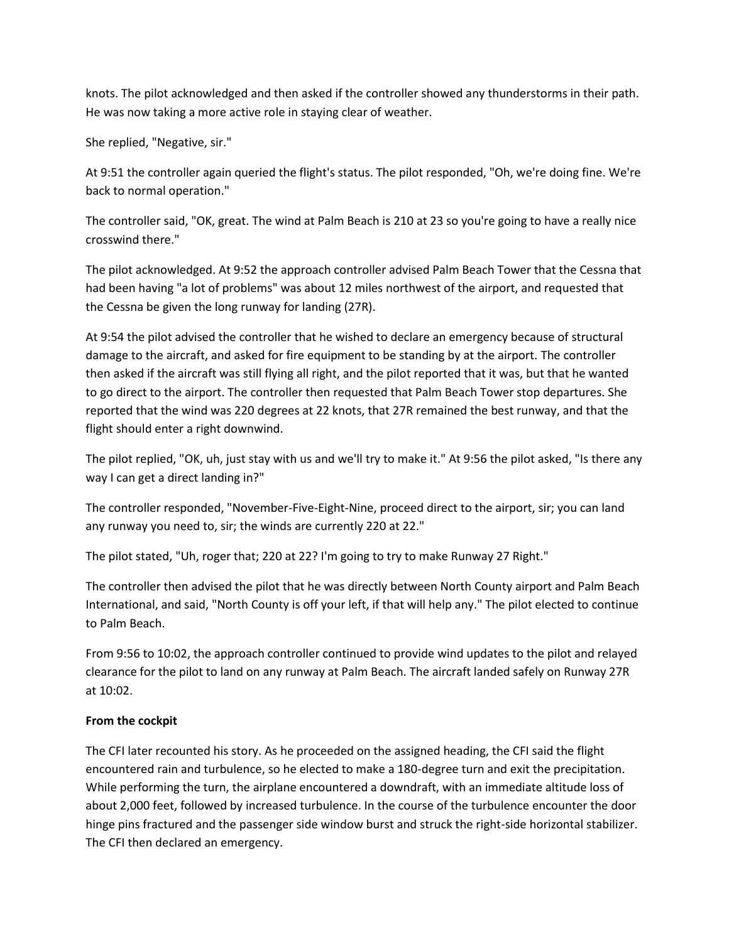knots. The pilot acknowledged and then asked if the controller showed any thunderstorms in their path. He was now taking a more active role in staying clear of weather.

She replied, "Negative, sir."

At 9:51 the controller again queried the flight's status. The pilot responded, "Oh, we're doing fine. We're back to normal operation."

The controller said, "OK, great. The wind at Palm Beach is 210 at 23 so you're going to have a really nice crosswind there."

The pilot acknowledged. At 9:52 the approach controller advised Palm Beach Tower that the Cessna that had been having "a lot of problems" was about 12 miles northwest of the airport, and requested that the Cessna be given the long runway for landing (27R).

At 9:54 the pilot advised the controller that he wished to declare an emergency because of structural damage to the aircraft, and asked for fire equipment to be standing by at the airport. The controller then asked if the aircraft was still flying all right, and the pilot reported that it was, but that he wanted to go direct to the airport. The controller then requested that Palm Beach Tower stop departures. She reported that the wind was 220 degrees at 22 knots, that 27R remained the best runway, and that the flight should enter a right downwind.

The pilot replied, "OK, uh, just stay with us and we'll try to make it." At 9:56 the pilot asked, "Is there any way I can get a direct landing in?"

The controller responded, "November-Five-Eight-Nine, proceed direct to the airport, sir; you can land any runway you need to, sir; the winds are currently 220 at 22."

The pilot stated, "Uh, roger that; 220 at 22? I'm going to try to make Runway 27 Right."

The controller then advised the pilot that he was directly between North County airport and Palm Beach International, and said, "North County is off your left, if that will help any." The pilot elected to continue to Palm Beach.

From 9:56 to 10:02, the approach controller continued to provide wind updates to the pilot and relayed clearance for the pilot to land on any runway at Palm Beach. The aircraft landed safely on Runway 27R at 10:02.

# **From the cockpit**

The CFI later recounted his story. As he proceeded on the assigned heading, the CFI said the flight encountered rain and turbulence, so he elected to make a 180-degree turn and exit the precipitation. While performing the turn, the airplane encountered a downdraft, with an immediate altitude loss of about 2,000 feet, followed by increased turbulence. In the course of the turbulence encounter the door hinge pins fractured and the passenger side window burst and struck the right-side horizontal stabilizer. The CFI then declared an emergency.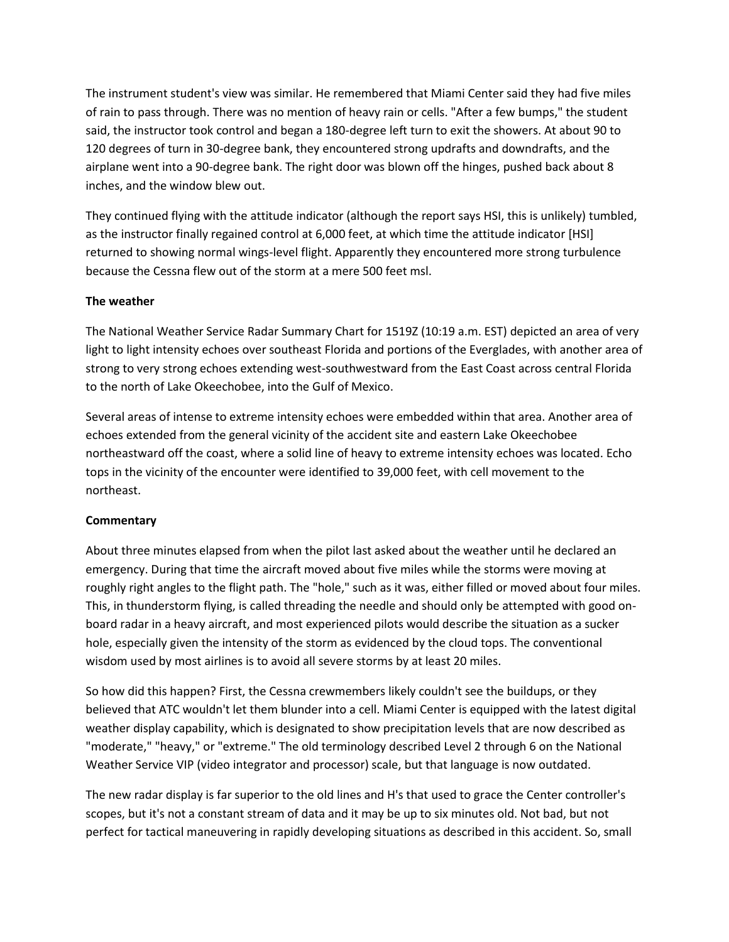The instrument student's view was similar. He remembered that Miami Center said they had five miles of rain to pass through. There was no mention of heavy rain or cells. "After a few bumps," the student said, the instructor took control and began a 180-degree left turn to exit the showers. At about 90 to 120 degrees of turn in 30-degree bank, they encountered strong updrafts and downdrafts, and the airplane went into a 90-degree bank. The right door was blown off the hinges, pushed back about 8 inches, and the window blew out.

They continued flying with the attitude indicator (although the report says HSI, this is unlikely) tumbled, as the instructor finally regained control at 6,000 feet, at which time the attitude indicator [HSI] returned to showing normal wings-level flight. Apparently they encountered more strong turbulence because the Cessna flew out of the storm at a mere 500 feet msl.

# **The weather**

The National Weather Service Radar Summary Chart for 1519Z (10:19 a.m. EST) depicted an area of very light to light intensity echoes over southeast Florida and portions of the Everglades, with another area of strong to very strong echoes extending west-southwestward from the East Coast across central Florida to the north of Lake Okeechobee, into the Gulf of Mexico.

Several areas of intense to extreme intensity echoes were embedded within that area. Another area of echoes extended from the general vicinity of the accident site and eastern Lake Okeechobee northeastward off the coast, where a solid line of heavy to extreme intensity echoes was located. Echo tops in the vicinity of the encounter were identified to 39,000 feet, with cell movement to the northeast.

#### **Commentary**

About three minutes elapsed from when the pilot last asked about the weather until he declared an emergency. During that time the aircraft moved about five miles while the storms were moving at roughly right angles to the flight path. The "hole," such as it was, either filled or moved about four miles. This, in thunderstorm flying, is called threading the needle and should only be attempted with good onboard radar in a heavy aircraft, and most experienced pilots would describe the situation as a sucker hole, especially given the intensity of the storm as evidenced by the cloud tops. The conventional wisdom used by most airlines is to avoid all severe storms by at least 20 miles.

So how did this happen? First, the Cessna crewmembers likely couldn't see the buildups, or they believed that ATC wouldn't let them blunder into a cell. Miami Center is equipped with the latest digital weather display capability, which is designated to show precipitation levels that are now described as "moderate," "heavy," or "extreme." The old terminology described Level 2 through 6 on the National Weather Service VIP (video integrator and processor) scale, but that language is now outdated.

The new radar display is far superior to the old lines and H's that used to grace the Center controller's scopes, but it's not a constant stream of data and it may be up to six minutes old. Not bad, but not perfect for tactical maneuvering in rapidly developing situations as described in this accident. So, small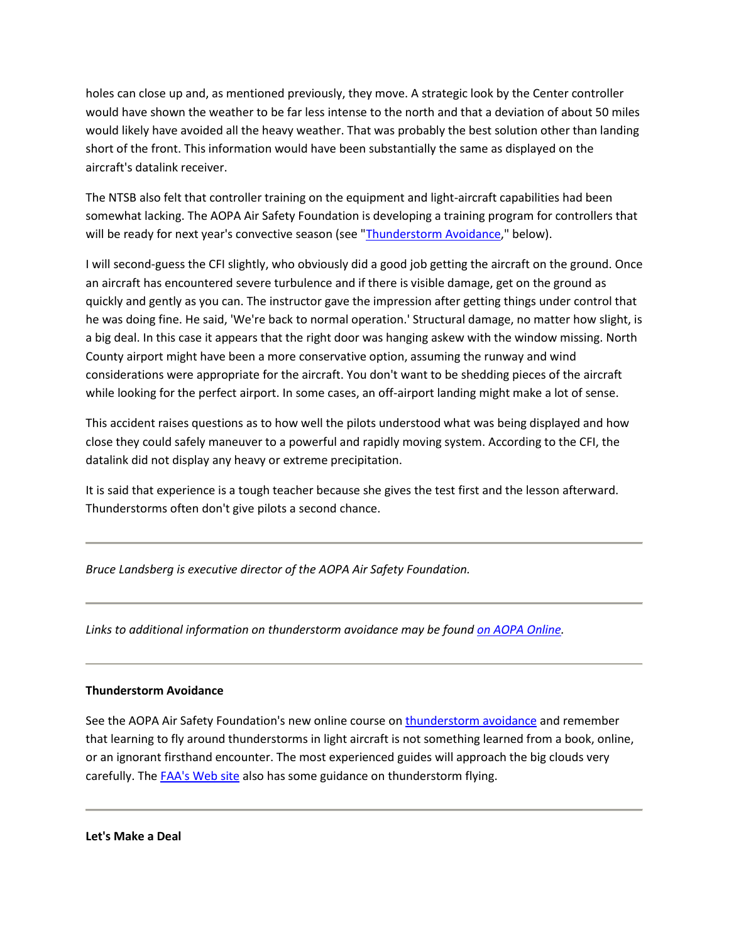holes can close up and, as mentioned previously, they move. A strategic look by the Center controller would have shown the weather to be far less intense to the north and that a deviation of about 50 miles would likely have avoided all the heavy weather. That was probably the best solution other than landing short of the front. This information would have been substantially the same as displayed on the aircraft's datalink receiver.

The NTSB also felt that controller training on the equipment and light-aircraft capabilities had been somewhat lacking. The AOPA Air Safety Foundation is developing a training program for controllers that will be ready for next year's convective season (see ["Thunderstorm Avoidance,](http://www.aopa.org/asf/asfarticles/2006/sp0606.html#thunderstorm)" below).

I will second-guess the CFI slightly, who obviously did a good job getting the aircraft on the ground. Once an aircraft has encountered severe turbulence and if there is visible damage, get on the ground as quickly and gently as you can. The instructor gave the impression after getting things under control that he was doing fine. He said, 'We're back to normal operation.' Structural damage, no matter how slight, is a big deal. In this case it appears that the right door was hanging askew with the window missing. North County airport might have been a more conservative option, assuming the runway and wind considerations were appropriate for the aircraft. You don't want to be shedding pieces of the aircraft while looking for the perfect airport. In some cases, an off-airport landing might make a lot of sense.

This accident raises questions as to how well the pilots understood what was being displayed and how close they could safely maneuver to a powerful and rapidly moving system. According to the CFI, the datalink did not display any heavy or extreme precipitation.

It is said that experience is a tough teacher because she gives the test first and the lesson afterward. Thunderstorms often don't give pilots a second chance.

*Bruce Landsberg is executive director of the AOPA Air Safety Foundation.*

*Links to additional information on thunderstorm avoidance may be foun[d on AOPA Online.](http://www.aopa.org/pilot/links/showlinks.cfm?pubdate=6/1/06)*

# **Thunderstorm Avoidance**

See the AOPA Air Safety Foundation's new online course o[n thunderstorm avoidance](http://www.asf.org/courses/) and remember that learning to fly around thunderstorms in light aircraft is not something learned from a book, online, or an ignorant firsthand encounter. The most experienced guides will approach the big clouds very carefully. The [FAA's Web site](http://www.faasafety.gov/) also has some guidance on thunderstorm flying.